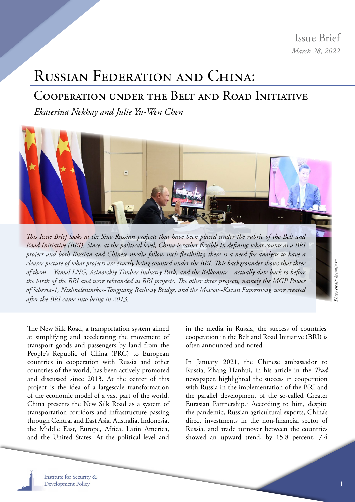Issue Brief *March 28, 2022*

## <span id="page-0-0"></span>Russian Federation and China:

## Cooperation under the Belt and Road Initiative

*Ekaterina Nekhay and Julie Yu-Wen Chen*



*This Issue Brief looks at six Sino-Russian projects that have been placed under the rubric of the Belt and Road Initiative (BRI). Since, at the political level, China is rather flexible in defining what counts as a BRI project and both Russian and Chinese media follow such flexibility, there is a need for analysts to have a clearer picture of what projects are exactly being counted under the BRI. This backgrounder shows that three of them—Yamal LNG, Asinovskiy Timber Industry Park, and the Belkomur—actually date back to before the birth of the BRI and were rebranded as BRI projects. The other three projects, namely the MGP Power of Siberia-1, Nizhneleninskoe-Tongjiang Railway Bridge, and the Moscow-Kazan Expressway, were created after the BRI came into being in 2013.*

*Photo credit: kremlin.ru*hoto credit: kremlin.ru

The New Silk Road, a transportation system aimed at simplifying and accelerating the movement of transport goods and passengers by land from the People's Republic of China (PRC) to European countries in cooperation with Russia and other countries of the world, has been actively promoted and discussed since 2013. At the center of this project is the idea of a largescale transformation of the economic model of a vast part of the world. China presents the New Silk Road as a system of transportation corridors and infrastructure passing through Central and East Asia, Australia, Indonesia, the Middle East, Europe, Africa, Latin America, and the United States. At the political level and in the media in Russia, the success of countries' cooperation in the Belt and Road Initiative (BRI) is often announced and noted.

In January 2021, the Chinese ambassador to Russia, Zhang Hanhui, in his article in the *Trud* newspaper, highlighted the success in cooperation with Russia in the implementation of the BRI and the parallel development of the so-called Greater Eurasian Partnership.<sup>[1](#page-7-0)</sup> According to him, despite the pandemic, Russian agricultural exports, China's direct investments in the non-financial sector of Russia, and trade turnover between the countries showed an upward trend, by 15.8 percent, 7.4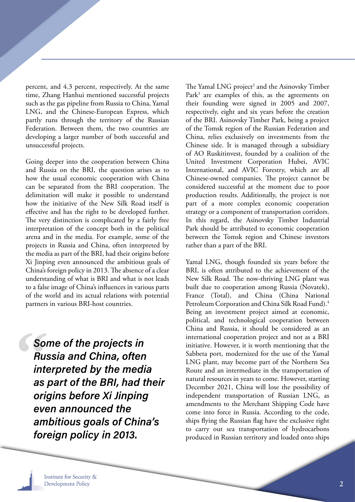<span id="page-1-0"></span>percent, and 4.3 percent, respectively. At the same time, Zhang Hanhui mentioned successful projects such as the gas pipeline from Russia to China, Yamal LNG, and the Chinese-European Express, which partly runs through the territory of the Russian Federation. Between them, the two countries are developing a larger number of both successful and unsuccessful projects.

Going deeper into the cooperation between China and Russia on the BRI, the question arises as to how the usual economic cooperation with China can be separated from the BRI cooperation. The delimitation will make it possible to understand how the initiative of the New Silk Road itself is effective and has the right to be developed further. The very distinction is complicated by a fairly free interpretation of the concept both in the political arena and in the media. For example, some of the projects in Russia and China, often interpreted by the media as part of the BRI, had their origins before Xi Jinping even announced the ambitious goals of China's foreign policy in 2013. The absence of a clear understanding of what is BRI and what is not leads to a false image of China's influences in various parts of the world and its actual relations with potential partners in various BRI-host countries.

Some of the projects in Russia and China, often interpreted by the media as part of the BRI, had their origins before Xi Jinping even announced the ambitious goals of China's foreign policy in 2013.

The Yamal LNG project<sup>[2](#page-7-0)</sup> and the Asinovsky Timber Park<sup>3</sup> are examples of this, as the agreements on their founding were signed in 2005 and 2007, respectively, eight and six years before the creation of the BRI. Asinovsky Timber Park, being a project of the Tomsk region of the Russian Federation and China, relies exclusively on investments from the Chinese side. It is managed through a subsidiary of AO Ruskitinvest, founded by a coalition of the United Investment Corporation Hubei, AVIC International, and AVIC Forestry, which are all Chinese-owned companies. The project cannot be considered successful at the moment due to poor production results. Additionally, the project is not part of a more complex economic cooperation strategy or a component of transportation corridors. In this regard, the Asinovsky Timber Industrial Park should be attributed to economic cooperation between the Tomsk region and Chinese investors rather than a part of the BRI.

Yamal LNG, though founded six years before the BRI, is often attributed to the achievement of the New Silk Road. The now-thriving LNG plant was built due to cooperation among Russia (Novatek), France (Total), and China (China National Petroleum Corporation and China Silk Road Fund).<sup>[4](#page-7-0)</sup> Being an investment project aimed at economic, political, and technological cooperation between China and Russia, it should be considered as an international cooperation project and not as a BRI initiative. However, it is worth mentioning that the Sabbeta port, modernized for the use of the Yamal LNG plant, may become part of the Northern Sea Route and an intermediate in the transportation of natural resources in years to come. However, starting December 2021, China will lose the possibility of independent transportation of Russian LNG, as amendments to the Merchant Shipping Code have come into force in Russia. According to the code, ships flying the Russian flag have the exclusive right to carry out sea transportation of hydrocarbons produced in Russian territory and loaded onto ships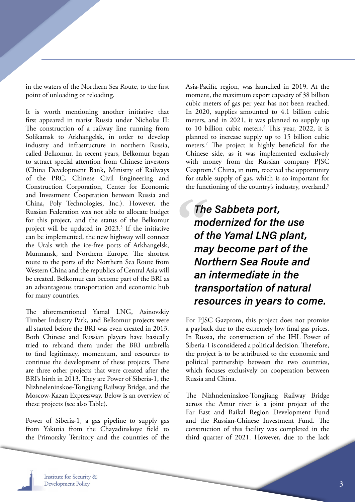<span id="page-2-0"></span>in the waters of the Northern Sea Route, to the first point of unloading or reloading.

It is worth mentioning another initiative that first appeared in tsarist Russia under Nicholas II: The construction of a railway line running from Solikamsk to Arkhangelsk, in order to develop industry and infrastructure in northern Russia, called Belkomur. In recent years, Belkomur began to attract special attention from Chinese investors (China Development Bank, Ministry of Railways of the PRC, Chinese Civil Engineering and Construction Corporation, Center for Economic and Investment Cooperation between Russia and China, Poly Technologies, Inc.). However, the Russian Federation was not able to allocate budget for this project, and the status of the Belkomur project will be updated in 2023.<sup>5</sup> If the initiative can be implemented, the new highway will connect the Urals with the ice-free ports of Arkhangelsk, Murmansk, and Northern Europe. The shortest route to the ports of the Northern Sea Route from Western China and the republics of Central Asia will be created. Belkomur can become part of the BRI as an advantageous transportation and economic hub for many countries.

The aforementioned Yamal LNG, Asinovskiy Timber Industry Park, and Belkomur projects were all started before the BRI was even created in 2013. Both Chinese and Russian players have basically tried to rebrand them under the BRI umbrella to find legitimacy, momentum, and resources to continue the development of these projects. There are three other projects that were created after the BRI's birth in 2013. They are Power of Siberia-1, the Nizhneleninskoe-Tongjiang Railway Bridge, and the Moscow-Kazan Expressway. Below is an overview of these projects (see also Table).

Power of Siberia-1, a gas pipeline to supply gas from Yakutia from the Chayadinskoye field to the Primorsky Territory and the countries of the Asia-Pacific region, was launched in 2019. At the moment, the maximum export capacity of 38 billion cubic meters of gas per year has not been reached. In 2020, supplies amounted to 4.1 billion cubic meters, and in 2021, it was planned to supply up to 10 billion cubic meters.<sup>[6](#page-7-0)</sup> This year, 2022, it is planned to increase supply up to 15 billion cubic meters[.7](#page-7-0) The project is highly beneficial for the Chinese side, as it was implemented exclusively with money from the Russian company PJSC Gazprom[.8](#page-7-0) China, in turn, received the opportunity for stable supply of gas, which is so important for the functioning of the country's industry, overland.<sup>[9](#page-7-0)</sup>

The Sabbeta port, modernized for the use of the Yamal LNG plant, may become part of the Northern Sea Route and an intermediate in the transportation of natural resources in years to come.

For PJSC Gazprom, this project does not promise a payback due to the extremely low final gas prices. In Russia, the construction of the IHL Power of Siberia-1 is considered a political decision. Therefore, the project is to be attributed to the economic and political partnership between the two countries, which focuses exclusively on cooperation between Russia and China.

The Nizhneleninskoe-Tongjiang Railway Bridge across the Amur river is a joint project of the Far East and Baikal Region Development Fund and the Russian-Chinese Investment Fund. The construction of this facility was completed in the third quarter of 2021. However, due to the lack

**Institute for Security & Development Policy**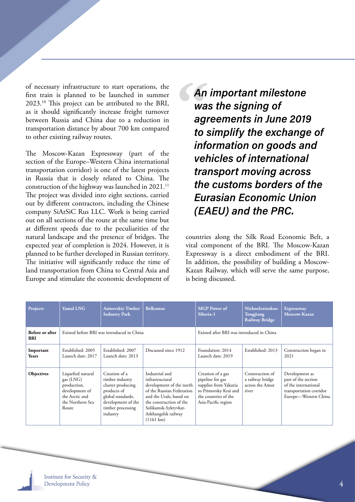<span id="page-3-0"></span>of necessary infrastructure to start operations, the first train is planned to be launched in summer 2023.[10](#page-7-0) This project can be attributed to the BRI, as it should significantly increase freight turnover between Russia and China due to a reduction in transportation distance by about 700 km compared to other existing railway routes.

The Moscow-Kazan Expressway (part of the section of the Europe–Western China international transportation corridor) is one of the latest projects in Russia that is closely related to China. The construction of the highway was launched in 2021.<sup>[11](#page-7-0)</sup> The project was divided into eight sections, carried out by different contractors, including the Chinese company SiArSiC Rus LLC. Work is being carried out on all sections of the route at the same time but at different speeds due to the peculiarities of the natural landscape and the presence of bridges. The expected year of completion is 2024. However, it is planned to be further developed in Russian territory. The initiative will significantly reduce the time of land transportation from China to Central Asia and Europe and stimulate the economic development of An important milestone was the signing of agreements in June 2019 to simplify the exchange of information on goods and vehicles of international transport moving across the customs borders of the Eurasian Economic Union (EAEU) and the PRC.

countries along the Silk Road Economic Belt, a vital component of the BRI. The Moscow-Kazan Expressway is a direct embodiment of the BRI. In addition, the possibility of building a Moscow-Kazan Railway, which will serve the same purpose, is being discussed.

| Projects                      | Yamal LNG                                                                                                      | <b>Asinovskiy Timber</b><br><b>Industry Park</b>                                                                                                 | Belkomur                                                                                                                                                                                                               | <b>MGP</b> Power of<br>Siberia-1                                                                                                       | Nizhneleninskoe-<br>Tongjiang<br><b>Railway Bridge</b>          | <b>Expressway</b><br>Moscow-Kazan                                                                                |
|-------------------------------|----------------------------------------------------------------------------------------------------------------|--------------------------------------------------------------------------------------------------------------------------------------------------|------------------------------------------------------------------------------------------------------------------------------------------------------------------------------------------------------------------------|----------------------------------------------------------------------------------------------------------------------------------------|-----------------------------------------------------------------|------------------------------------------------------------------------------------------------------------------|
| Before or after<br><b>BRI</b> | Existed before BRI was introduced in China                                                                     |                                                                                                                                                  |                                                                                                                                                                                                                        | Existed after BRI was introduced in China                                                                                              |                                                                 |                                                                                                                  |
| Important<br>Years            | Established: 2005<br>Launch date: 2017                                                                         | Established: 2007<br>Launch date: 2013                                                                                                           | Discussed since 1912                                                                                                                                                                                                   | Foundation: 2014<br>Launch date: 2019                                                                                                  | Established: 2013                                               | Construction began in<br>2021                                                                                    |
| Objectives                    | Liquefied natural<br>gas (LNG)<br>production,<br>development of<br>the Arctic and<br>the Northern Sea<br>Route | Creation of a<br>timber industry<br>cluster producing<br>products of<br>global standards,<br>development of the<br>timber processing<br>industry | Industrial and<br>infrastructural<br>development of the north<br>of the Russian Federation<br>and the Urals; based on<br>the construction of the<br>Solikamsk-Syktyvkar-<br>Arkhangelsk railway<br>$(1161 \text{ km})$ | Creation of a gas<br>pipeline for gas<br>supplies from Yakutia<br>to Primorsky Krai and<br>the countries of the<br>Asia-Pacific region | Construction of<br>a railway bridge<br>across the Amur<br>river | Development as<br>part of the section<br>of the international<br>transportation corridor<br>Europe-Western China |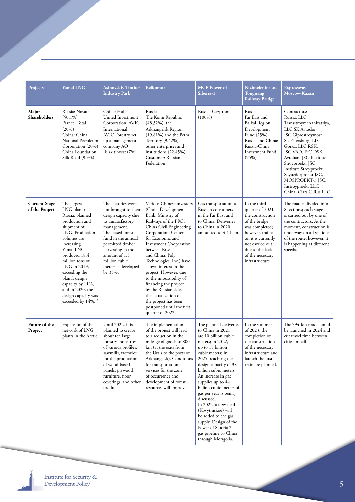<span id="page-4-0"></span>

| Projects                               | <b>Yamal LNG</b>                                                                                                                                                                                                                                                                                                                      | <b>Asinovskiy Timber</b><br><b>Industry Park</b>                                                                                                                                                                                                              | <b>Belkomur</b>                                                                                                                                                                                                                                                                                                                                                                                                                                                                                     | <b>MGP</b> Power of<br>Siberia-1                                                                                                                                                                                                                                                                                                                                                                                                                                                      | Nizhneleninskoe-<br>Tongjiang<br><b>Railway Bridge</b>                                                                                                                                                         | <b>Expressway</b><br>Moscow-Kazan                                                                                                                                                                                                                                                                                                |
|----------------------------------------|---------------------------------------------------------------------------------------------------------------------------------------------------------------------------------------------------------------------------------------------------------------------------------------------------------------------------------------|---------------------------------------------------------------------------------------------------------------------------------------------------------------------------------------------------------------------------------------------------------------|-----------------------------------------------------------------------------------------------------------------------------------------------------------------------------------------------------------------------------------------------------------------------------------------------------------------------------------------------------------------------------------------------------------------------------------------------------------------------------------------------------|---------------------------------------------------------------------------------------------------------------------------------------------------------------------------------------------------------------------------------------------------------------------------------------------------------------------------------------------------------------------------------------------------------------------------------------------------------------------------------------|----------------------------------------------------------------------------------------------------------------------------------------------------------------------------------------------------------------|----------------------------------------------------------------------------------------------------------------------------------------------------------------------------------------------------------------------------------------------------------------------------------------------------------------------------------|
| Major<br>Shareholders                  | Russia: Novatek<br>$(50.1\%)$<br>France: Total<br>(20%)<br>China: China<br>National Petroleum<br>Corporation (20%)<br>China Foundation<br>Silk Road (9.9%).                                                                                                                                                                           | China: Hubei<br>United Investment<br>Corporation, AVIC<br>International,<br><b>AVIC</b> Forestry set<br>up a management<br>company AO<br>Ruskitinvest (7%)                                                                                                    | Russia:<br>The Komi Republic<br>(48.32%), the<br>Arkhangelsk Region<br>$(19.81\%)$ and the Perm<br>Territory (9.42%),<br>other enterprises and<br>institutions (22.45%).<br>Customer: Russian<br>Federation                                                                                                                                                                                                                                                                                         | Russia: Gazprom<br>$(100\%)$                                                                                                                                                                                                                                                                                                                                                                                                                                                          | Russia:<br>Far East and<br><b>Baikal Region</b><br>Development<br>Fund (25%)<br>Russia and China:<br>Russia-China<br>Investment Fund<br>(75%)                                                                  | Contractors:<br>Russia: LLC<br>Transstroymehanizatsiya,<br>LLC SK Avtodor,<br>JSC Giprostroymost<br>St. Petersburg, LLC<br>Gorka, LLC RSK,<br>JSC VAD, JSC DSK<br>Avtoban, JSC Institute<br>Stroyproekt, JSC<br>Institute Stroyproekt,<br>Soyuzdorproekt JSC,<br>MOSPROEKT-3 JSC,<br>Instroyproekt LLC<br>China: CiarsiC Rus LLC |
| <b>Current Stage</b><br>of the Project | The largest<br>LNG plant in<br>Russia; planned<br>production and<br>shipment of<br>LNG. Production<br>volumes are<br>increasing.<br>Yamal LNG<br>produced 18.4<br>million tons of<br>LNG in 2019,<br>exceeding the<br>plant's design<br>capacity by 11%,<br>and in 2020, the<br>design capacity was<br>exceeded by 14%. <sup>12</sup> | The factories were<br>not brought to their<br>design capacity due<br>to unsatisfactory<br>management.<br>The leased forest<br>fund in the annual<br>permitted timber<br>harvesting in the<br>amount of 1.5<br>million cubic<br>meters is developed<br>by 35%. | Various Chinese investors<br>(China Development<br>Bank, Ministry of<br>Railways of the PRC,<br>China Civil Engineering<br>Corporation, Center<br>for Economic and<br><b>Investment Cooperation</b><br>between Russia<br>and China, Poly<br>Technologies, Inc.) have<br>shown interest in the<br>project. However, due<br>to the impossibility of<br>financing the project<br>by the Russian side,<br>the actualization of<br>the project has been<br>postponed until the first<br>quarter of 2022. | Gas transportation to<br>Russian consumers<br>in the Far East and<br>to China. Deliveries<br>to China in 2020<br>amounted to 4.1 bcm.                                                                                                                                                                                                                                                                                                                                                 | In the third<br>quarter of 2021,<br>the construction<br>of the bridge<br>was completed;<br>however, traffic<br>on it is currently<br>not carried out<br>due to the lack<br>of the necessary<br>infrastructure. | The road is divided into<br>8 sections; each stage<br>is carried out by one of<br>the contractors. At the<br>moment, construction is<br>underway on all sections<br>of the route; however, it<br>is happening at different<br>speeds.                                                                                            |
| Future of the<br>Project               | Expansion of the<br>network of LNG<br>plants in the Arctic                                                                                                                                                                                                                                                                            | Until 2022, it is<br>planned to create<br>about ten large<br>forestry industries<br>of various profiles:<br>sawmills, factories<br>for the production<br>of wood-based<br>panels, plywood,<br>furniture, floor<br>coverings, and other<br>products.           | The implementation<br>of the project will lead<br>to a reduction in the<br>mileage of goods to 800<br>km (at the exits from<br>the Urals to the ports of<br>Arkhangelsk). Conditions<br>for transportation<br>services for the zone<br>of occurrence and<br>development of forest<br>resources will improve.                                                                                                                                                                                        | The planned deliveries<br>to China in 2021<br>are 10 billion cubic<br>meters; in 2022,<br>up to 15 billion<br>cubic meters; in<br>2025, reaching the<br>design capacity of 38<br>billion cubic meters.<br>An increase in gas<br>supplies up to 44<br>billion cubic meters of<br>gas per year is being<br>discussed.<br>In 2022, a new field<br>(Kovytinskoe) will<br>be added to the gas<br>supply. Design of the<br>Power of Siberia 2<br>gas pipeline to China<br>through Mongolia. | In the summer<br>of 2023, the<br>completion of<br>the construction<br>of the necessary<br>infrastructure and<br>launch the first<br>train are planned.                                                         | The 794-km road should<br>be launched in 2024 and<br>cut travel time between<br>cities in half.                                                                                                                                                                                                                                  |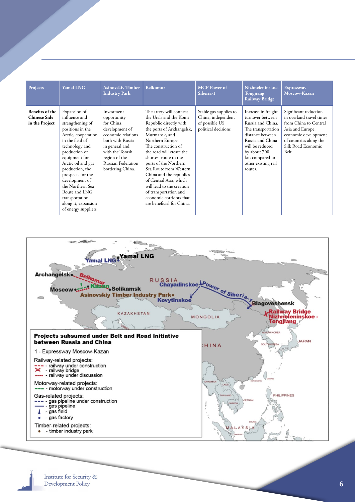| Projects                                                 | <b>Yamal LNG</b>                                                                                                                                                                                                                                                                                                                                         | <b>Asinovskiy Timber</b><br><b>Industry Park</b>                                                                                                                                                          | Belkomur                                                                                                                                                                                                                                                                                                                                                                                                                                        | <b>MGP</b> Power of<br>Siberia-1                                                      | Nizhneleninskoe-<br>Tongjiang<br><b>Railway Bridge</b>                                                                                                                                                            | <b>Expressway</b><br>Moscow-Kazan                                                                                                                                              |
|----------------------------------------------------------|----------------------------------------------------------------------------------------------------------------------------------------------------------------------------------------------------------------------------------------------------------------------------------------------------------------------------------------------------------|-----------------------------------------------------------------------------------------------------------------------------------------------------------------------------------------------------------|-------------------------------------------------------------------------------------------------------------------------------------------------------------------------------------------------------------------------------------------------------------------------------------------------------------------------------------------------------------------------------------------------------------------------------------------------|---------------------------------------------------------------------------------------|-------------------------------------------------------------------------------------------------------------------------------------------------------------------------------------------------------------------|--------------------------------------------------------------------------------------------------------------------------------------------------------------------------------|
| Benefits of the<br><b>Chinese Side</b><br>in the Project | Expansion of<br>influence and<br>strengthening of<br>positions in the<br>Arctic, cooperation<br>in the field of<br>technology and<br>production of<br>equipment for<br>Arctic oil and gas<br>production, the<br>prospects for the<br>development of<br>the Northern Sea<br>Route and LNG<br>transportation<br>along it, expansion<br>of energy suppliers | Investment<br>opportunity<br>for China,<br>development of<br>economic relations<br>both with Russia<br>in general and<br>with the Tomsk<br>region of the<br><b>Russian Federation</b><br>bordering China. | The artery will connect<br>the Urals and the Komi<br>Republic directly with<br>the ports of Arkhangelsk,<br>Murmansk, and<br>Northern Europe.<br>The construction of<br>the road will create the<br>shortest route to the<br>ports of the Northern<br>Sea Route from Western<br>China and the republics<br>of Central Asia, which<br>will lead to the creation<br>of transportation and<br>economic corridors that<br>are beneficial for China. | Stable gas supplies to<br>China, independent<br>of possible US<br>political decisions | Increase in freight<br>turnover between<br>Russia and China.<br>The transportation<br>distance between<br>Russia and China<br>will be reduced<br>by about 700<br>km compared to<br>other existing rail<br>routes. | Significant reduction<br>in overland travel times<br>from China to Central<br>Asia and Europe,<br>economic development<br>of countries along the<br>Silk Road Economic<br>Belt |



Institute for Security & **Development Policy**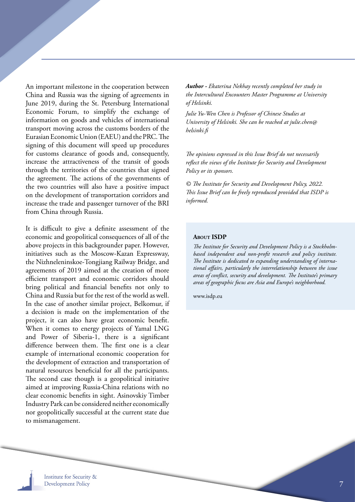An important milestone in the cooperation between China and Russia was the signing of agreements in June 2019, during the St. Petersburg International Economic Forum, to simplify the exchange of information on goods and vehicles of international transport moving across the customs borders of the Eurasian Economic Union (EAEU) and the PRC. The signing of this document will speed up procedures for customs clearance of goods and, consequently, increase the attractiveness of the transit of goods through the territories of the countries that signed the agreement. The actions of the governments of the two countries will also have a positive impact on the development of transportation corridors and increase the trade and passenger turnover of the BRI from China through Russia.

It is difficult to give a definite assessment of the economic and geopolitical consequences of all of the above projects in this backgrounder paper. However, initiatives such as the Moscow-Kazan Expressway, the Nizhneleninskoe-Tongjiang Railway Bridge, and agreements of 2019 aimed at the creation of more efficient transport and economic corridors should bring political and financial benefits not only to China and Russia but for the rest of the world as well. In the case of another similar project, Belkomur, if a decision is made on the implementation of the project, it can also have great economic benefit. When it comes to energy projects of Yamal LNG and Power of Siberia-1, there is a significant difference between them. The first one is a clear example of international economic cooperation for the development of extraction and transportation of natural resources beneficial for all the participants. The second case though is a geopolitical initiative aimed at improving Russia-China relations with no clear economic benefits in sight. Asinovskiy Timber Industry Park can be considered neither economically nor geopolitically successful at the current state due to mismanagement.

*Author - Ekaterina Nekhay recently completed her study in the Intercultural Encounters Master Programme at University of Helsinki.* 

*Julie Yu-Wen Chen is Professor of Chinese Studies at University of Helsinki. She can be reached at julie.chen@ helsinki.fi*

*The opinions expressed in this Issue Brief do not necessarily reflect the views of the Institute for Security and Development Policy or its sponsors.*

*© The Institute for Security and Development Policy, 2022. This Issue Brief can be freely reproduced provided that ISDP is informed.*

## **About ISDP**

*The Institute for Security and Development Policy is a Stockholmbased independent and non-profit research and policy institute. The Institute is dedicated to expanding understanding of international affairs, particularly the interrelationship between the issue areas of conflict, security and development. The Institute's primary areas of geographic focus are Asia and Europe's neighborhood.* 

www.isdp.eu

**Institute for Security & Development Policy**